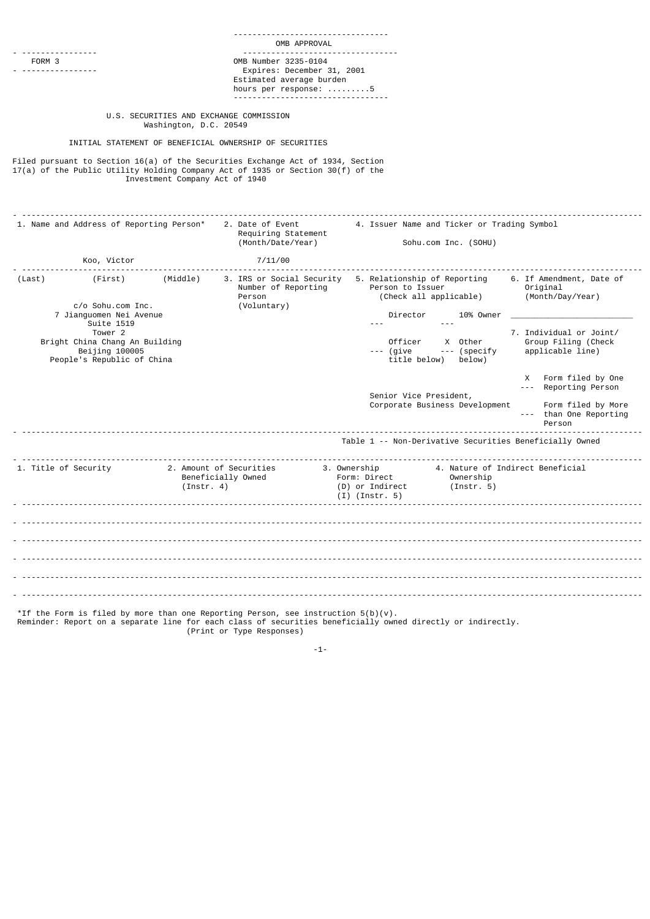|                                                                                                                                                                                                      | OMB APPROVAL                                                                                                                             |                                                                                                                                                                                                                                                                                                                                                                                                                                                                                                                                                                                |  |  |  |
|------------------------------------------------------------------------------------------------------------------------------------------------------------------------------------------------------|------------------------------------------------------------------------------------------------------------------------------------------|--------------------------------------------------------------------------------------------------------------------------------------------------------------------------------------------------------------------------------------------------------------------------------------------------------------------------------------------------------------------------------------------------------------------------------------------------------------------------------------------------------------------------------------------------------------------------------|--|--|--|
| FORM 3                                                                                                                                                                                               | -----------------------------<br>OMB Number 3235-0104<br>Expires: December 31, 2001<br>Estimated average burden<br>hours per response: 5 |                                                                                                                                                                                                                                                                                                                                                                                                                                                                                                                                                                                |  |  |  |
| U.S. SECURITIES AND EXCHANGE COMMISSION<br>Washington, D.C. 20549                                                                                                                                    |                                                                                                                                          |                                                                                                                                                                                                                                                                                                                                                                                                                                                                                                                                                                                |  |  |  |
| INITIAL STATEMENT OF BENEFICIAL OWNERSHIP OF SECURITIES                                                                                                                                              |                                                                                                                                          |                                                                                                                                                                                                                                                                                                                                                                                                                                                                                                                                                                                |  |  |  |
| Filed pursuant to Section 16(a) of the Securities Exchange Act of 1934, Section<br>17(a) of the Public Utility Holding Company Act of 1935 or Section 30(f) of the<br>Investment Company Act of 1940 |                                                                                                                                          |                                                                                                                                                                                                                                                                                                                                                                                                                                                                                                                                                                                |  |  |  |
| <u></u><br>1. Name and Address of Reporting Person*                                                                                                                                                  | 2. Date of Event<br>Requiring Statement<br>(Month/Date/Year)                                                                             | 4. Issuer Name and Ticker or Trading Symbol<br>Sohu.com Inc. (SOHU)                                                                                                                                                                                                                                                                                                                                                                                                                                                                                                            |  |  |  |
| Koo, Victor                                                                                                                                                                                          | 7/11/00                                                                                                                                  |                                                                                                                                                                                                                                                                                                                                                                                                                                                                                                                                                                                |  |  |  |
| (First)<br>(Middle)<br>(Last)<br>c/o Sohu.com Inc.<br>7 Jianguomen Nei Avenue<br>Suite 1519<br>Tower <sub>2</sub><br>Bright China Chang An Building<br>Beijing 100005<br>People's Republic of China  | Number of Reporting<br>Person<br>(Voluntary)                                                                                             | 3. IRS or Social Security 5. Relationship of Reporting<br>6. If Amendment, Date of<br>Person to Issuer<br>Original<br>(Check all applicable)<br>(Month/Day/Year)<br>Director<br>10% Owner<br>$- - -$<br>7. Individual or Joint/<br>Group Filing (Check<br>Officer X Other<br>--- (give --- (specify<br>applicable line)<br>title below) below)<br>X Form filed by One<br>--- Reporting Person<br>Senior Vice President,<br>Corporate Business Development<br>Form filed by More<br>--- than One Reporting<br>Person<br>Table 1 -- Non-Derivative Securities Beneficially Owned |  |  |  |
| 1. Title of Security                                                                                                                                                                                 | 2. Amount of Securities<br>Beneficially Owned<br>(Instr. 4)                                                                              | 4. Nature of Indirect Beneficial<br>3. Ownership<br>Form: Direct<br>Ownership<br>(Instr. 5)<br>(D) or Indirect<br>(I) (Instr. 5)                                                                                                                                                                                                                                                                                                                                                                                                                                               |  |  |  |
|                                                                                                                                                                                                      | *If the Form is filed by more than one Reporting Person, see instruction $5(b)(v)$ .                                                     |                                                                                                                                                                                                                                                                                                                                                                                                                                                                                                                                                                                |  |  |  |

(Print or Type Responses)

-1-